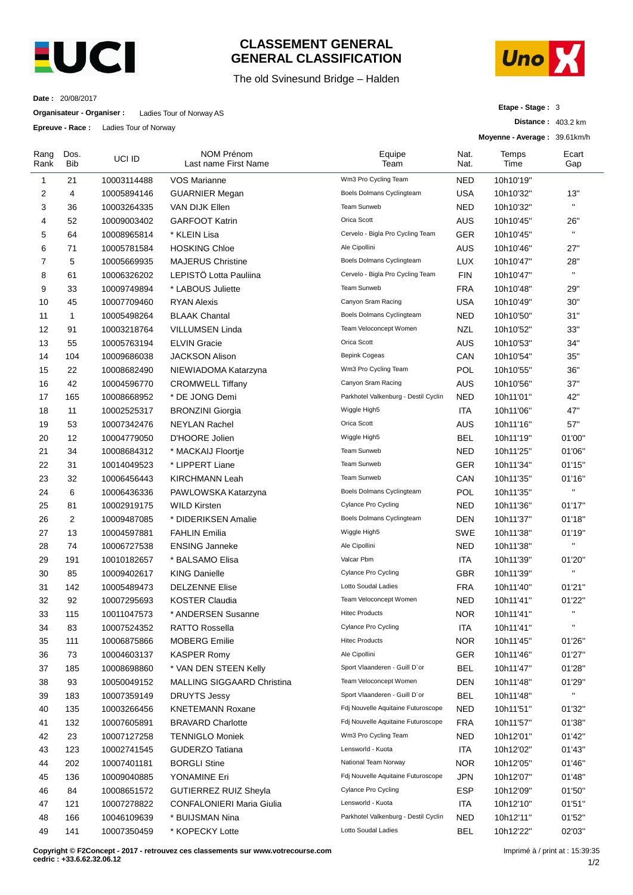

## **CLASSEMENT GENERAL GENERAL CLASSIFICATION**

## The old Svinesund Bridge – Halden



**Distance :** 403.2 km

**Etape - Stage :** 3

**Date :** 20/08/2017

**Organisateur - Organiser :** Ladies Tour of Norway AS

**Epreuve - Race :** Ladies Tour of Norway

|              |                    |             |                                           |                                      |              | Moyenne - Average: 39.61km/h |              |
|--------------|--------------------|-------------|-------------------------------------------|--------------------------------------|--------------|------------------------------|--------------|
| Rang<br>Rank | Dos.<br><b>Bib</b> | UCI ID      | <b>NOM Prénom</b><br>Last name First Name | Equipe<br>Team                       | Nat.<br>Nat. | Temps<br>Time                | Ecart<br>Gap |
| 1            | 21                 | 10003114488 | VOS Marianne                              | Wm3 Pro Cycling Team                 | <b>NED</b>   | 10h10'19"                    |              |
| 2            | 4                  | 10005894146 | <b>GUARNIER Megan</b>                     | Boels Dolmans Cyclingteam            | <b>USA</b>   | 10h10'32"                    | 13"          |
| 3            | 36                 | 10003264335 | VAN DIJK Ellen                            | Team Sunweb                          | <b>NED</b>   | 10h10'32"                    | $\mathbf{H}$ |
| 4            | 52                 | 10009003402 | <b>GARFOOT Katrin</b>                     | Orica Scott                          | AUS          | 10h10'45"                    | 26"          |
| 5            | 64                 | 10008965814 | * KLEIN Lisa                              | Cervelo - Bigla Pro Cycling Team     | <b>GER</b>   | 10h10'45"                    | $\mathbf{u}$ |
| 6            | 71                 | 10005781584 | <b>HOSKING Chloe</b>                      | Ale Cipollini                        | AUS          | 10h10'46"                    | 27"          |
| 7            | 5                  | 10005669935 | <b>MAJERUS Christine</b>                  | Boels Dolmans Cyclingteam            | <b>LUX</b>   | 10h10'47"                    | 28"          |
| 8            | 61                 | 10006326202 | LEPISTÖ Lotta Pauliina                    | Cervelo - Bigla Pro Cycling Team     | <b>FIN</b>   | 10h10'47"                    | $\mathbf{H}$ |
| 9            | 33                 | 10009749894 | * LABOUS Juliette                         | Team Sunweb                          | <b>FRA</b>   | 10h10'48"                    | 29"          |
| 10           | 45                 | 10007709460 | <b>RYAN Alexis</b>                        | Canyon Sram Racing                   | <b>USA</b>   | 10h10'49"                    | 30"          |
| 11           | 1                  | 10005498264 | <b>BLAAK Chantal</b>                      | Boels Dolmans Cyclingteam            | <b>NED</b>   | 10h10'50"                    | 31"          |
| 12           | 91                 | 10003218764 | VILLUMSEN Linda                           | Team Veloconcept Women               | NZL          | 10h10'52"                    | 33"          |
| 13           | 55                 | 10005763194 | <b>ELVIN Gracie</b>                       | Orica Scott                          | AUS          | 10h10'53"                    | 34"          |
| 14           | 104                | 10009686038 | <b>JACKSON Alison</b>                     | Bepink Cogeas                        | CAN          | 10h10'54"                    | 35"          |
| 15           | 22                 | 10008682490 | NIEWIADOMA Katarzyna                      | Wm3 Pro Cycling Team                 | POL          | 10h10'55"                    | 36"          |
| 16           | 42                 | 10004596770 | <b>CROMWELL Tiffany</b>                   | Canyon Sram Racing                   | <b>AUS</b>   | 10h10'56"                    | 37"          |
| 17           | 165                | 10008668952 | * DE JONG Demi                            | Parkhotel Valkenburg - Destil Cyclin | <b>NED</b>   | 10h11'01"                    | 42"          |
| 18           | 11                 | 10002525317 | <b>BRONZINI Giorgia</b>                   | Wiggle High5                         | ITA          | 10h11'06"                    | 47"          |
| 19           | 53                 | 10007342476 | <b>NEYLAN Rachel</b>                      | Orica Scott                          | AUS          | 10h11'16"                    | 57"          |
| 20           | 12                 | 10004779050 | D'HOORE Jolien                            | Wiggle High5                         | <b>BEL</b>   | 10h11'19"                    | 01'00"       |
| 21           | 34                 | 10008684312 | * MACKAIJ Floortje                        | Team Sunweb                          | <b>NED</b>   | 10h11'25"                    | 01'06"       |
| 22           | 31                 | 10014049523 | * LIPPERT Liane                           | Team Sunweb                          | <b>GER</b>   | 10h11'34"                    | 01'15"       |
| 23           | 32                 | 10006456443 | <b>KIRCHMANN Leah</b>                     | Team Sunweb                          | CAN          | 10h11'35"                    | 01'16"       |
| 24           | 6                  | 10006436336 | PAWLOWSKA Katarzyna                       | Boels Dolmans Cyclingteam            | POL          | 10h11'35"                    | $\mathbf{u}$ |
| 25           | 81                 | 10002919175 | <b>WILD Kirsten</b>                       | Cylance Pro Cycling                  | <b>NED</b>   | 10h11'36"                    | 01'17"       |
| 26           | 2                  | 10009487085 | * DIDERIKSEN Amalie                       | Boels Dolmans Cyclingteam            | <b>DEN</b>   | 10h11'37"                    | 01'18"       |
| 27           | 13                 | 10004597881 | <b>FAHLIN Emilia</b>                      | Wiggle High5                         | <b>SWE</b>   | 10h11'38"                    | 01'19"       |
| 28           | 74                 | 10006727538 | <b>ENSING Janneke</b>                     | Ale Cipollini                        | <b>NED</b>   | 10h11'38"                    | $\mathbf{u}$ |
| 29           | 191                | 10010182657 | * BALSAMO Elisa                           | Valcar Pbm                           | ITA          | 10h11'39"                    | 01'20"       |
| 30           | 85                 | 10009402617 | <b>KING Danielle</b>                      | Cylance Pro Cycling                  | <b>GBR</b>   | 10h11'39"                    | $\mathbf{H}$ |
| 31           | 142                | 10005489473 | <b>DELZENNE Elise</b>                     | Lotto Soudal Ladies                  | <b>FRA</b>   | 10h11'40"                    | 01'21"       |
| 32           | 92                 | 10007295693 | <b>KOSTER Claudia</b>                     | Team Veloconcept Women               | <b>NED</b>   | 10h11'41"                    | 01'22"       |
| 33           | 115                | 10011047573 | * ANDERSEN Susanne                        | <b>Hitec Products</b>                | <b>NOR</b>   | 10h11'41"                    |              |
| 34           | 83                 | 10007524352 | RATTO Rossella                            | <b>Cylance Pro Cycling</b>           | ITA          | 10h11'41"                    | $\mathbf{H}$ |
| 35           | 111                | 10006875866 | <b>MOBERG Emilie</b>                      | <b>Hitec Products</b>                | <b>NOR</b>   | 10h11'45"                    | 01'26"       |
| 36           | 73                 | 10004603137 | <b>KASPER Romy</b>                        | Ale Cipollini                        | <b>GER</b>   | 10h11'46"                    | 01'27"       |
| 37           | 185                | 10008698860 | * VAN DEN STEEN Kelly                     | Sport Vlaanderen - Guill D'or        | <b>BEL</b>   | 10h11'47"                    | 01'28"       |
| 38           | 93                 | 10050049152 | <b>MALLING SIGGAARD Christina</b>         | Team Veloconcept Women               | <b>DEN</b>   | 10h11'48"                    | 01'29"       |
| 39           | 183                | 10007359149 | <b>DRUYTS Jessy</b>                       | Sport Vlaanderen - Guill D'or        | <b>BEL</b>   | 10h11'48"                    | $\mathbf{u}$ |
| 40           | 135                | 10003266456 | <b>KNETEMANN Roxane</b>                   | Fdj Nouvelle Aquitaine Futuroscope   | <b>NED</b>   | 10h11'51"                    | 01'32"       |
| 41           | 132                | 10007605891 | <b>BRAVARD Charlotte</b>                  | Fdj Nouvelle Aquitaine Futuroscope   | <b>FRA</b>   | 10h11'57"                    | 01'38"       |
| 42           | 23                 | 10007127258 | <b>TENNIGLO Moniek</b>                    | Wm3 Pro Cycling Team                 | NED          | 10h12'01"                    | 01'42"       |
| 43           | 123                | 10002741545 | <b>GUDERZO Tatiana</b>                    | Lensworld - Kuota                    | ITA          | 10h12'02"                    | 01'43"       |
| 44           | 202                | 10007401181 | <b>BORGLI Stine</b>                       | National Team Norway                 | <b>NOR</b>   | 10h12'05"                    | 01'46"       |
| 45           | 136                | 10009040885 | YONAMINE Eri                              | Fdj Nouvelle Aquitaine Futuroscope   | <b>JPN</b>   | 10h12'07"                    | 01'48"       |
| 46           | 84                 | 10008651572 | <b>GUTIERREZ RUIZ Sheyla</b>              | Cylance Pro Cycling                  | <b>ESP</b>   | 10h12'09"                    | 01'50"       |
| 47           | 121                | 10007278822 | <b>CONFALONIERI Maria Giulia</b>          | Lensworld - Kuota                    | <b>ITA</b>   | 10h12'10"                    | 01'51"       |
| 48           | 166                | 10046109639 | * BUIJSMAN Nina                           | Parkhotel Valkenburg - Destil Cyclin | <b>NED</b>   | 10h12'11"                    | 01'52"       |
| 49           | 141                | 10007350459 | * KOPECKY Lotte                           | Lotto Soudal Ladies                  | <b>BEL</b>   | 10h12'22"                    | 02'03"       |
|              |                    |             |                                           |                                      |              |                              |              |